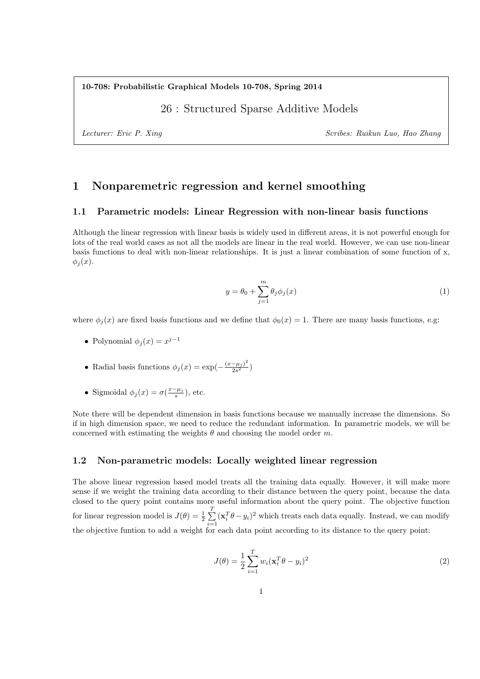#### **10-708: Probabilistic Graphical Models 10-708, Spring 2014**

### 26 : Structured Sparse Additive Models

*Lecturer: Eric P. Xing Scribes: Ruikun Luo, Hao Zhang*

# **1 Nonparemetric regression and kernel smoothing**

#### **1.1 Parametric models: Linear Regression with non-linear basis functions**

Although the linear regression with linear basis is widely used in different areas, it is not powerful enough for lots of the real world cases as not all the models are linear in the real world. However, we can use non-linear basis functions to deal with non-linear relationships. It is just a linear combination of some function of x,  $\phi_i(x)$ .

$$
y = \theta_0 + \sum_{j=1}^{m} \theta_j \phi_j(x) \tag{1}
$$

where  $\phi_i(x)$  are fixed basis functions and we define that  $\phi_0(x) = 1$ . There are many basis functions, e.g:

- Polynomial  $\phi_j(x) = x^{j-1}$
- Radial basis functions  $\phi_j(x) = \exp(-\frac{(x-\mu_j)^2}{2s^2})$  $\frac{-\mu_j}{2s^2}$
- Sigmoidal  $\phi_j(x) = \sigma(\frac{x \mu_j}{s})$ , etc.

Note there will be dependent dimension in basis functions because we manually increase the dimensions. So if in high dimension space, we need to reduce the redundant information. In parametric models, we will be concerned with estimating the weights *θ* and choosing the model order *m*.

#### **1.2 Non-parametric models: Locally weighted linear regression**

The above linear regression based model treats all the training data equally. However, it will make more sense if we weight the training data according to their distance between the query point, because the data closed to the query point contains more useful information about the query point. The objective function for linear regression model is  $J(\theta) = \frac{1}{2} \sum_{n=1}^{T}$ *i*=1  $(\mathbf{x}_i^T \theta - y_i)^2$  which treats each data equally. Instead, we can modify the objective funtion to add a weight for each data point according to its distance to the query point:

$$
J(\theta) = \frac{1}{2} \sum_{i=1}^{T} w_i (\mathbf{x}_i^T \theta - y_i)^2
$$
\n(2)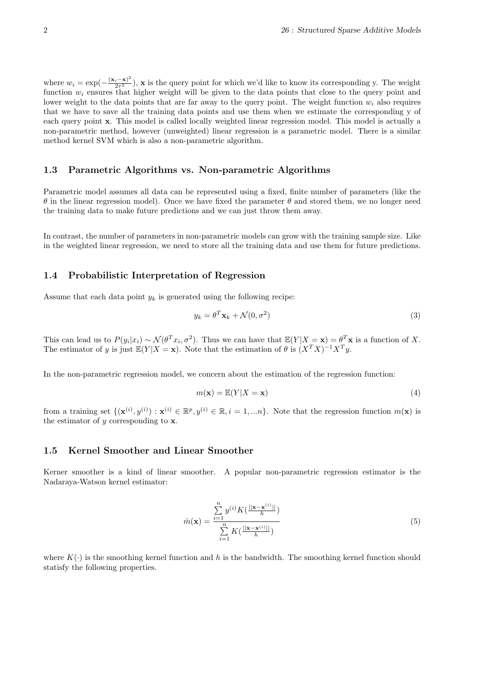where  $w_i = \exp(-\frac{(\mathbf{x}_i - \mathbf{x})^2}{2\tau^2})$  $\frac{i-{\bf x}}{2\tau^2}$ ), **x** is the query point for which we'd like to know its corresponding y. The weight function  $w_i$  ensures that higher weight will be given to the data points that close to the query point and lower weight to the data points that are far away to the query point. The weight function  $w_i$  also requires that we have to save all the training data points and use them when we estimate the corresponding y of each query point **x**. This model is called locally weighted linear regression model. This model is actually a non-parametric method, however (unweighted) linear regression is a parametric model. There is a similar method kernel SVM which is also a non-parametric algorithm.

#### **1.3 Parametric Algorithms vs. Non-parametric Algorithms**

Parametric model assumes all data can be represented using a fixed, finite number of parameters (like the *θ* in the linear regression model). Once we have fixed the parameter *θ* and stored them, we no longer need the training data to make future predictions and we can just throw them away.

In contrast, the number of parameters in non-parametric models can grow with the training sample size. Like in the weighted linear regression, we need to store all the training data and use them for future predictions.

#### **1.4 Probabilistic Interpretation of Regression**

Assume that each data point  $y_k$  is generated using the following recipe:

$$
y_k = \theta^T \mathbf{x}_k + \mathcal{N}(0, \sigma^2)
$$
\n(3)

This can lead us to  $P(y_i|x_i) \sim \mathcal{N}(\theta^T x_i, \sigma^2)$ . Thus we can have that  $\mathbb{E}(Y|X=\mathbf{x}) = \theta^T \mathbf{x}$  is a function of X. The estimator of *y* is just  $\mathbb{E}(Y|X=x)$ . Note that the estimation of  $\theta$  is  $(X^TX)^{-1}X^Ty$ .

In the non-parametric regression model, we concern about the estimation of the regression function:

$$
m(\mathbf{x}) = \mathbb{E}(Y|X = \mathbf{x})\tag{4}
$$

from a training set  $\{(\mathbf{x}^{(i)}, y^{(i)}): \mathbf{x}^{(i)} \in \mathbb{R}^p, y^{(i)} \in \mathbb{R}, i = 1, \dots n\}$ . Note that the regression function  $m(\mathbf{x})$  is the estimator of *y* corresponding to **x**.

#### **1.5 Kernel Smoother and Linear Smoother**

Kerner smoother is a kind of linear smoother. A popular non-parametric regression estimator is the Nadaraya-Watson kernel estimator:

$$
\hat{m}(\mathbf{x}) = \frac{\sum_{i=1}^{n} y^{(i)} K(\frac{||\mathbf{x} - \mathbf{x}^{(i)}||}{h})}{\sum_{i=1}^{n} K(\frac{||\mathbf{x} - \mathbf{x}^{(i)}||}{h})}
$$
(5)

where  $K(\cdot)$  is the smoothing kernel function and h is the bandwidth. The smoothing kernel function should statisfy the following properties.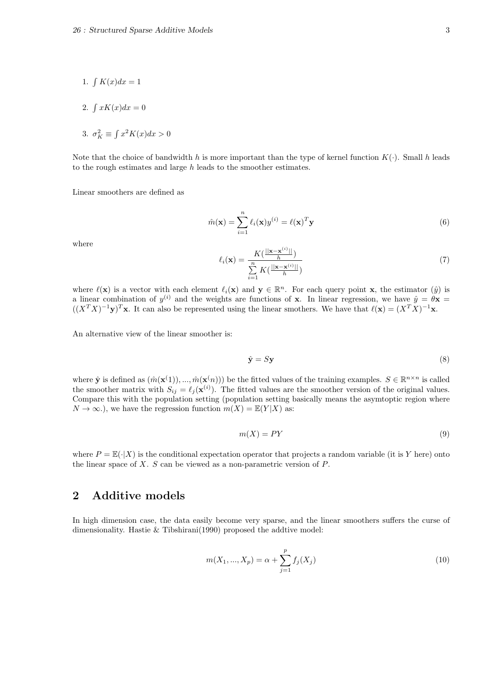- 1.  $\int K(x)dx = 1$
- 2.  $\int xK(x)dx = 0$
- 3.  $\sigma_K^2 \equiv \int x^2 K(x) dx > 0$

Note that the choice of bandwidth h is more important than the type of kernel function  $K(\cdot)$ . Small h leads to the rough estimates and large *h* leads to the smoother estimates.

Linear smoothers are defined as

$$
\hat{m}(\mathbf{x}) = \sum_{i=1}^{n} \ell_i(\mathbf{x}) y^{(i)} = \ell(\mathbf{x})^T \mathbf{y}
$$
\n(6)

where

$$
\ell_i(\mathbf{x}) = \frac{K(\frac{||\mathbf{x} - \mathbf{x}^{(i)}||}{h})}{\sum_{i=1}^n K(\frac{||\mathbf{x} - \mathbf{x}^{(i)}||}{h})}
$$
(7)

where  $\ell(\mathbf{x})$  is a vector with each element  $\ell_i(\mathbf{x})$  and  $\mathbf{y} \in \mathbb{R}^n$ . For each query point **x**, the estimator  $(\hat{y})$  is a linear combination of  $y^{(i)}$  and the weights are functions of **x**. In linear regression, we have  $\hat{y} = \theta \mathbf{x} =$  $((X^T X)^{-1} \mathbf{y})^T \mathbf{x}$ . It can also be represented using the linear smothers. We have that  $\ell(\mathbf{x}) = (X^T X)^{-1} \mathbf{x}$ .

An alternative view of the linear smoother is:

$$
\hat{\mathbf{y}} = S\mathbf{y} \tag{8}
$$

where  $\hat{\mathbf{y}}$  is defined as  $(\hat{m}(\mathbf{x}^{(1)}), ..., \hat{m}(\mathbf{x}^{(n)}))$  be the fitted values of the training examples.  $S \in \mathbb{R}^{n \times n}$  is called the smoother matrix with  $S_{ij} = \ell_j(\mathbf{x}^{(i)})$ . The fitted values are the smoother version of the original values. Compare this with the population setting (population setting basically means the asymtoptic region where  $N \to \infty$ .), we have the regression function  $m(X) = \mathbb{E}(Y|X)$  as:

$$
m(X) = PY \tag{9}
$$

where  $P = \mathbb{E}(\cdot | X)$  is the conditional expectation operator that projects a random variable (it is *Y* here) onto the linear space of *X*. *S* can be viewed as a non-parametric version of *P*.

### **2 Additive models**

In high dimension case, the data easily become very sparse, and the linear smoothers suffers the curse of dimensionality. Hastie & Tibshirani(1990) proposed the addtive model:

$$
m(X_1, ..., X_p) = \alpha + \sum_{j=1}^p f_j(X_j)
$$
\n(10)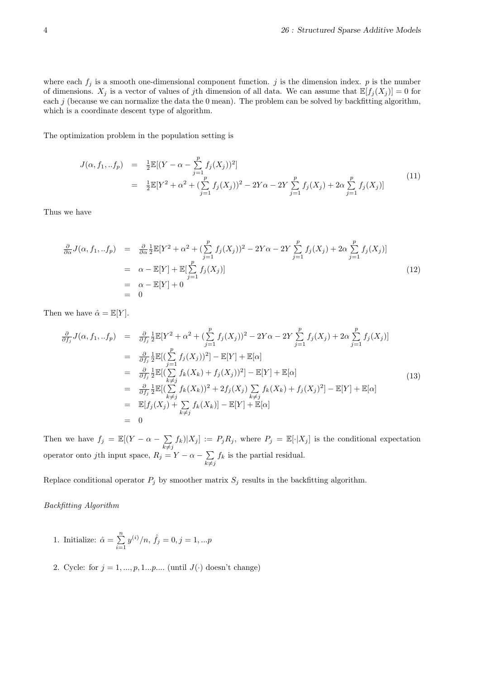where each  $f_j$  is a smooth one-dimensional component function.  $j$  is the dimension index.  $p$  is the number of dimensions.  $X_j$  is a vector of values of *j*th dimension of all data. We can assume that  $\mathbb{E}[f_j(X_j)] = 0$  for each  $j$  (because we can normalize the data the 0 mean). The problem can be solved by backfitting algorithm, which is a coordinate descent type of algorithm.

The optimization problem in the population setting is

$$
J(\alpha, f_1,..f_p) = \frac{1}{2} \mathbb{E}[(Y - \alpha - \sum_{j=1}^p f_j(X_j))^2]
$$
  
= 
$$
\frac{1}{2} \mathbb{E}[Y^2 + \alpha^2 + (\sum_{j=1}^p f_j(X_j))^2 - 2Y\alpha - 2Y \sum_{j=1}^p f_j(X_j) + 2\alpha \sum_{j=1}^p f_j(X_j)]
$$
(11)

Thus we have

$$
\frac{\partial}{\partial \alpha} J(\alpha, f_1,..f_p) = \frac{\partial}{\partial \alpha} \frac{1}{2} \mathbb{E}[Y^2 + \alpha^2 + (\sum_{j=1}^p f_j(X_j))^2 - 2Y\alpha - 2Y \sum_{j=1}^p f_j(X_j) + 2\alpha \sum_{j=1}^p f_j(X_j)]
$$
\n
$$
= \alpha - \mathbb{E}[Y] + \mathbb{E}[\sum_{j=1}^p f_j(X_j)]
$$
\n
$$
= \alpha - \mathbb{E}[Y] + 0
$$
\n
$$
= 0
$$
\n(12)

Then we have  $\hat{\alpha} = \mathbb{E}[Y]$ .

$$
\frac{\partial}{\partial f_j} J(\alpha, f_1,..f_p) = \frac{\partial}{\partial f_j} \frac{1}{2} \mathbb{E}[Y^2 + \alpha^2 + (\sum_{j=1}^p f_j(X_j))^2 - 2Y\alpha - 2Y \sum_{j=1}^p f_j(X_j) + 2\alpha \sum_{j=1}^p f_j(X_j)] \n= \frac{\partial}{\partial f_j} \frac{1}{2} \mathbb{E}[(\sum_{j=1}^p f_j(X_j))^2] - \mathbb{E}[Y] + \mathbb{E}[\alpha] \n= \frac{\partial}{\partial f_j} \frac{1}{2} \mathbb{E}[(\sum_{k \neq j}^p f_k(X_k) + f_j(X_j))^2] - \mathbb{E}[Y] + \mathbb{E}[\alpha] \n= \frac{\partial}{\partial f_j} \frac{1}{2} \mathbb{E}[(\sum_{k \neq j}^p f_k(X_k))^2 + 2f_j(X_j) \sum_{\substack{k \neq j}}^p f_k(X_k) + f_j(X_j)^2] - \mathbb{E}[Y] + \mathbb{E}[\alpha] \n= \mathbb{E}[f_j(X_j) + \sum_{k \neq j}^p f_k(X_k)] - \mathbb{E}[Y] + \mathbb{E}[\alpha] \n= 0
$$
\n(13)

Then we have  $f_j = \mathbb{E}[(Y - \alpha - \sum$  $k \neq j$  $f_k |X_j| := P_j R_j$ , where  $P_j = \mathbb{E}[\cdot |X_j]$  is the conditional expectation operator onto *j*th input space,  $R_j = Y - \alpha - \sum$  $k \neq j$  $f_k$  is the partial residual.

Replace conditional operator  $P_j$  by smoother matrix  $S_j$  results in the backfitting algorithm.

*Backfitting Algorithm*

- 1. Initialize:  $\hat{\alpha} = \sum_{n=1}^{\infty}$ *i*=1  $y^{(i)}/n$ ,  $\hat{f}_j = 0$ ,  $j = 1,...p$
- 2. Cycle: for  $j = 1, ..., p, 1...p...$  (until  $J(·)$  doesn't change)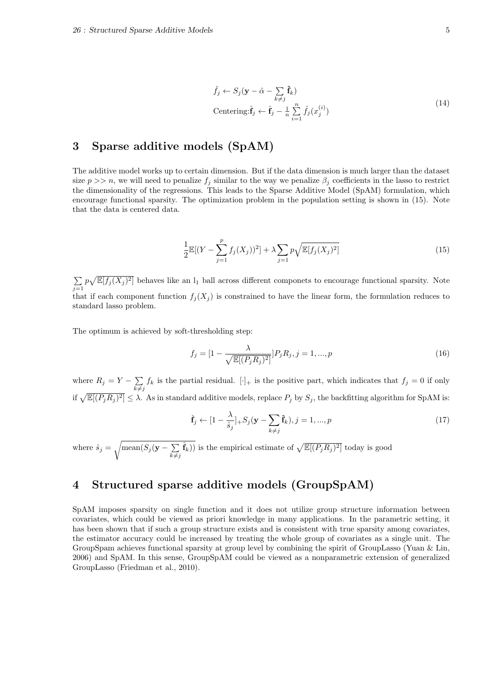$$
\hat{f}_j \leftarrow S_j(\mathbf{y} - \hat{\alpha} - \sum_{k \neq j} \hat{\mathbf{f}}_k)
$$
  
Centering:  $\hat{\mathbf{f}}_j \leftarrow \hat{\mathbf{f}}_j - \frac{1}{n} \sum_{i=1}^n \hat{f}_j(x_j^{(i)})$  (14)

## **3 Sparse additive models (SpAM)**

The additive model works up to certain dimension. But if the data dimension is much larger than the dataset size  $p \gg n$ , we will need to penalize  $f_j$  similar to the way we penalize  $\beta_j$  coefficients in the lasso to restrict the dimensionality of the regressions. This leads to the Sparse Additive Model (SpAM) formulation, which encourage functional sparsity. The optimization problem in the population setting is shown in (15). Note that the data is centered data.

$$
\frac{1}{2}\mathbb{E}[(Y - \sum_{j=1}^{p} f_j(X_j))^2] + \lambda \sum_{j=1}^{p} \sqrt{\mathbb{E}[f_j(X_j)^2]}
$$
\n(15)

∑ *j*=1  $p\sqrt{\mathbb{E}[f_j(X_j)^2]}$  behaves like an  $l_1$  ball across different componets to encourage functional sparsity. Note that if each component function  $f_j(X_j)$  is constrained to have the linear form, the formulation reduces to standard lasso problem.

The optimum is achieved by soft-thresholding step:

$$
f_j = [1 - \frac{\lambda}{\sqrt{\mathbb{E}[(P_j R_j)^2]}}] P_j R_j, j = 1, ..., p
$$
\n(16)

where  $R_j = Y - \sum$  $k \neq j$  $f_k$  is the partial residual.  $[\cdot]_+$  is the positive part, which indicates that  $f_j = 0$  if only if  $\sqrt{\mathbb{E}[(P_jR_j)^2]} \leq \lambda$ . As in standard additive models, replace  $P_j$  by  $S_j$ , the backfitting algorithm for SpAM is:

$$
\hat{\mathbf{f}}_j \leftarrow [1 - \frac{\lambda}{\hat{s}_j}] + S_j (\mathbf{y} - \sum_{k \neq j} \hat{\mathbf{f}}_k), j = 1, ..., p
$$
\n(17)

where  $\hat{s}_j = \sqrt{\text{mean}(S_j(\mathbf{y} - \sum))}$  $k \neq j$  $(\hat{\mathbf{f}}_k)$ ) is the empirical estimate of  $\sqrt{\mathbb{E}[(P_jR_j)^2]}$  today is good

# **4 Structured sparse additive models (GroupSpAM)**

SpAM imposes sparsity on single function and it does not utilize group structure information between covariates, which could be viewed as priori knowledge in many applications. In the parametric setting, it has been shown that if such a group structure exists and is consistent with true sparsity among covariates, the estimator accuracy could be increased by treating the whole group of covariates as a single unit. The GroupSpam achieves functional sparsity at group level by combining the spirit of GroupLasso (Yuan & Lin, 2006) and SpAM. In this sense, GroupSpAM could be viewed as a nonparametric extension of generalized GroupLasso (Friedman et al., 2010).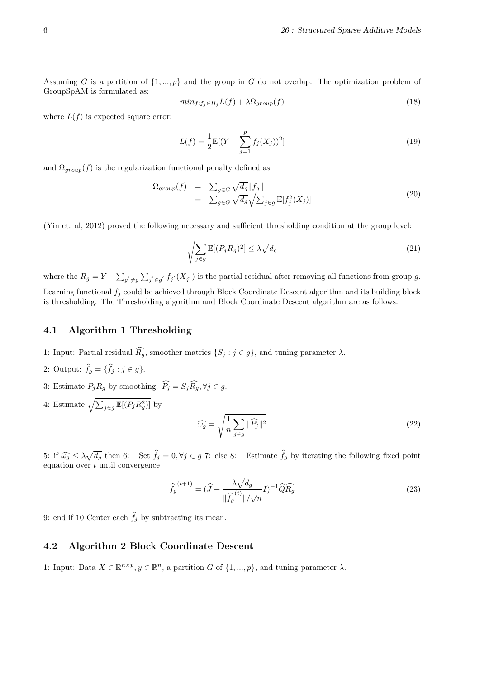Assuming *G* is a partition of *{*1*, ..., p}* and the group in *G* do not overlap. The optimization problem of GroupSpAM is formulated as:

$$
min_{f:f_j \in H_j} L(f) + \lambda \Omega_{group}(f) \tag{18}
$$

where  $L(f)$  is expected square error:

$$
L(f) = \frac{1}{2} \mathbb{E}[(Y - \sum_{j=1}^{p} f_j(X_j))^2]
$$
\n(19)

and  $\Omega_{group}(f)$  is the regularization functional penalty defined as:

$$
\Omega_{group}(f) = \sum_{g \in G} \sqrt{d_g} ||f_g||
$$
  
= 
$$
\sum_{g \in G} \sqrt{d_g} \sqrt{\sum_{j \in g} \mathbb{E}[f_j^2(X_j)]}
$$
 (20)

(Yin et. al, 2012) proved the following necessary and sufficient thresholding condition at the group level:

$$
\sqrt{\sum_{j\in g} \mathbb{E}[(P_j R_g)^2]} \le \lambda \sqrt{d_g} \tag{21}
$$

where the  $R_g = Y - \sum_{g' \neq g} \sum_{j' \in g'} f_{j'}(X_{j'})$  is the partial residual after removing all functions from group g. Learning functional *f<sup>j</sup>* could be achieved through Block Coordinate Descent algorithm and its building block is thresholding. The Thresholding algorithm and Block Coordinate Descent algorithm are as follows:

### **4.1 Algorithm 1 Thresholding**

- 1: Input: Partial residual  $\widehat{R_q}$ , smoother matrics  $\{S_j : j \in g\}$ , and tuning parameter  $\lambda$ .
- 2: Output:  $\hat{f}_g = {\hat{f}_j : j \in g}$ .
- 3: Estimate  $P_j R_g$  by smoothing:  $\widehat{P}_j = S_j \widehat{R}_g$ ,  $\forall j \in g$ .
- 4: Estimate  $\sqrt{\sum_{j \in g} \mathbb{E}[(P_j R_g^2)]}$  by

$$
\widehat{\omega_g} = \sqrt{\frac{1}{n} \sum_{j \in g} ||\widehat{P_j}||^2}
$$
\n(22)

5: if  $\widehat{\omega_g} \leq \lambda \sqrt{d_g}$  then 6: Set  $\widehat{f}_j = 0, \forall j \in g$  7: else 8: Estimate  $\widehat{f}_g$  by iterating the following fixed point equation over *t* until convergence

$$
\widehat{f}_g^{(t+1)} = (\widehat{J} + \frac{\lambda \sqrt{d_g}}{\|\widehat{f}_g^{(t)}\|/\sqrt{n}} I)^{-1} \widehat{Q} \widehat{R_g}
$$
\n(23)

9: end if 10 Center each  $\hat{f}_j$  by subtracting its mean.

### **4.2 Algorithm 2 Block Coordinate Descent**

1: Input: Data  $X \in \mathbb{R}^{n \times p}$ ,  $y \in \mathbb{R}^n$ , a partition *G* of  $\{1, ..., p\}$ , and tuning parameter  $\lambda$ .